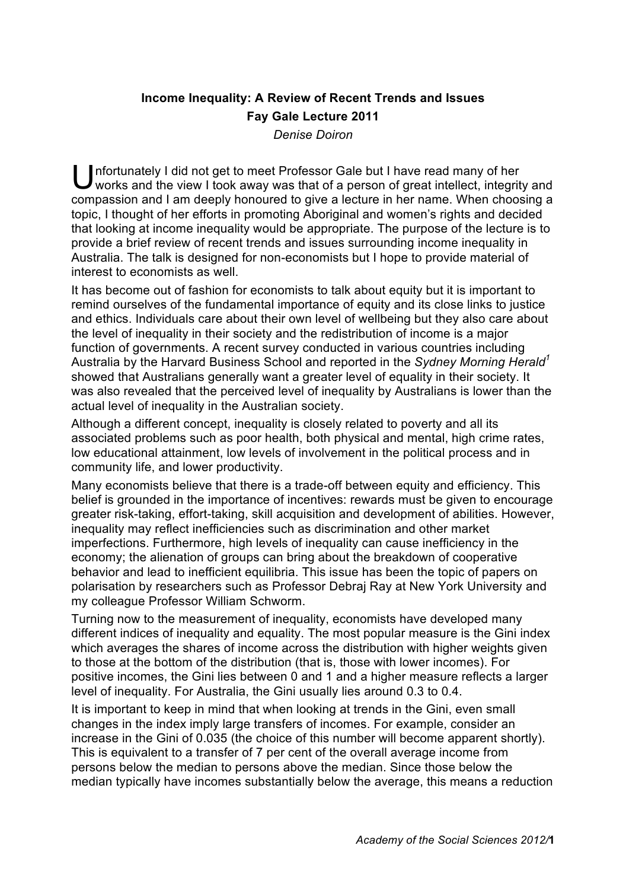## **Income Inequality: A Review of Recent Trends and Issues Fay Gale Lecture 2011**

*Denise Doiron*

Unfortunately I did not get to meet Professor Gale but I have read many of her works and the view I took away was that of a person of great intellect, integrit works and the view I took away was that of a person of great intellect, integrity and compassion and I am deeply honoured to give a lecture in her name. When choosing a topic, I thought of her efforts in promoting Aboriginal and women's rights and decided that looking at income inequality would be appropriate. The purpose of the lecture is to provide a brief review of recent trends and issues surrounding income inequality in Australia. The talk is designed for non-economists but I hope to provide material of interest to economists as well.

It has become out of fashion for economists to talk about equity but it is important to remind ourselves of the fundamental importance of equity and its close links to justice and ethics. Individuals care about their own level of wellbeing but they also care about the level of inequality in their society and the redistribution of income is a major function of governments. A recent survey conducted in various countries including Australia by the Harvard Business School and reported in the *Sydney Morning Herald<sup>1</sup>* showed that Australians generally want a greater level of equality in their society. It was also revealed that the perceived level of inequality by Australians is lower than the actual level of inequality in the Australian society.

Although a different concept, inequality is closely related to poverty and all its associated problems such as poor health, both physical and mental, high crime rates, low educational attainment, low levels of involvement in the political process and in community life, and lower productivity.

Many economists believe that there is a trade-off between equity and efficiency. This belief is grounded in the importance of incentives: rewards must be given to encourage greater risk-taking, effort-taking, skill acquisition and development of abilities. However, inequality may reflect inefficiencies such as discrimination and other market imperfections. Furthermore, high levels of inequality can cause inefficiency in the economy; the alienation of groups can bring about the breakdown of cooperative behavior and lead to inefficient equilibria. This issue has been the topic of papers on polarisation by researchers such as Professor Debraj Ray at New York University and my colleague Professor William Schworm.

Turning now to the measurement of inequality, economists have developed many different indices of inequality and equality. The most popular measure is the Gini index which averages the shares of income across the distribution with higher weights given to those at the bottom of the distribution (that is, those with lower incomes). For positive incomes, the Gini lies between 0 and 1 and a higher measure reflects a larger level of inequality. For Australia, the Gini usually lies around 0.3 to 0.4.

It is important to keep in mind that when looking at trends in the Gini, even small changes in the index imply large transfers of incomes. For example, consider an increase in the Gini of 0.035 (the choice of this number will become apparent shortly). This is equivalent to a transfer of 7 per cent of the overall average income from persons below the median to persons above the median. Since those below the median typically have incomes substantially below the average, this means a reduction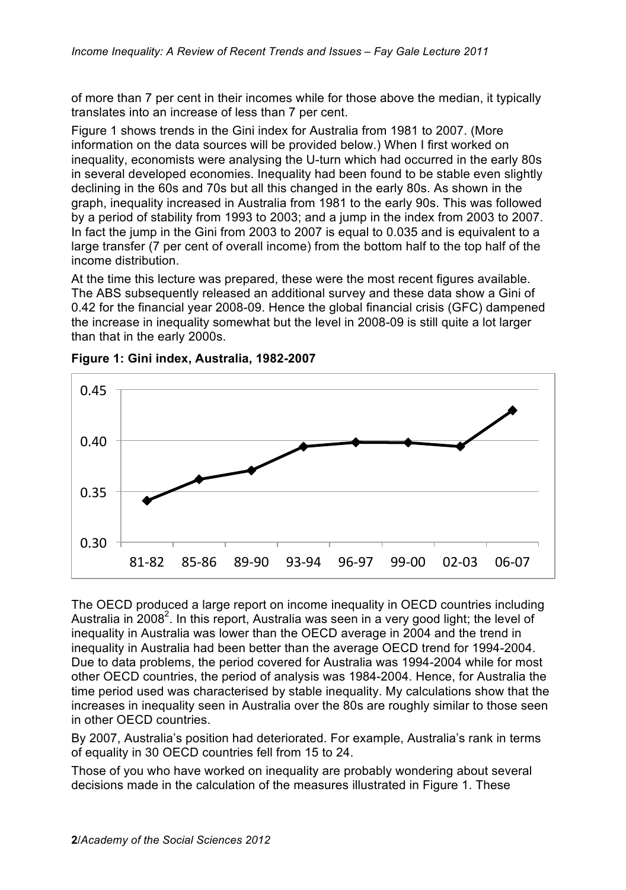of more than 7 per cent in their incomes while for those above the median, it typically translates into an increase of less than 7 per cent.

Figure 1 shows trends in the Gini index for Australia from 1981 to 2007. (More information on the data sources will be provided below.) When I first worked on inequality, economists were analysing the U-turn which had occurred in the early 80s in several developed economies. Inequality had been found to be stable even slightly declining in the 60s and 70s but all this changed in the early 80s. As shown in the graph, inequality increased in Australia from 1981 to the early 90s. This was followed by a period of stability from 1993 to 2003; and a jump in the index from 2003 to 2007. In fact the jump in the Gini from 2003 to 2007 is equal to 0.035 and is equivalent to a large transfer (7 per cent of overall income) from the bottom half to the top half of the income distribution.

At the time this lecture was prepared, these were the most recent figures available. The ABS subsequently released an additional survey and these data show a Gini of 0.42 for the financial year 2008-09. Hence the global financial crisis (GFC) dampened the increase in inequality somewhat but the level in 2008-09 is still quite a lot larger than that in the early 2000s.



**Figure 1: Gini index, Australia, 1982-2007**

The OECD produced a large report on income inequality in OECD countries including Australia in 2008<sup>2</sup>. In this report, Australia was seen in a very good light; the level of inequality in Australia was lower than the OECD average in 2004 and the trend in inequality in Australia had been better than the average OECD trend for 1994-2004. Due to data problems, the period covered for Australia was 1994-2004 while for most other OECD countries, the period of analysis was 1984-2004. Hence, for Australia the time period used was characterised by stable inequality. My calculations show that the increases in inequality seen in Australia over the 80s are roughly similar to those seen in other OECD countries.

By 2007, Australia's position had deteriorated. For example, Australia's rank in terms of equality in 30 OECD countries fell from 15 to 24.

Those of you who have worked on inequality are probably wondering about several decisions made in the calculation of the measures illustrated in Figure 1. These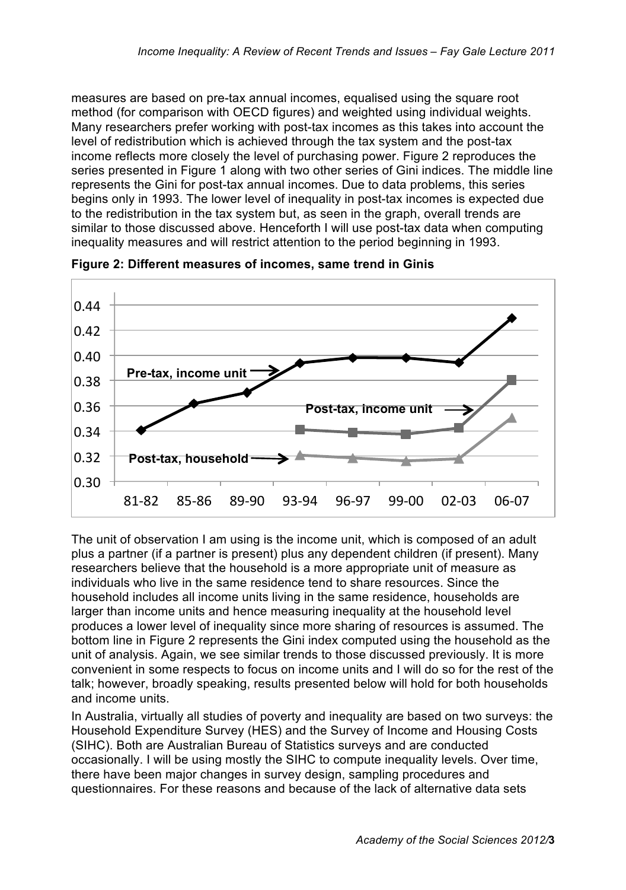measures are based on pre-tax annual incomes, equalised using the square root method (for comparison with OECD figures) and weighted using individual weights. Many researchers prefer working with post-tax incomes as this takes into account the level of redistribution which is achieved through the tax system and the post-tax income reflects more closely the level of purchasing power. Figure 2 reproduces the series presented in Figure 1 along with two other series of Gini indices. The middle line represents the Gini for post-tax annual incomes. Due to data problems, this series begins only in 1993. The lower level of inequality in post-tax incomes is expected due to the redistribution in the tax system but, as seen in the graph, overall trends are similar to those discussed above. Henceforth I will use post-tax data when computing inequality measures and will restrict attention to the period beginning in 1993.



**Figure 2: Different measures of incomes, same trend in Ginis**

The unit of observation I am using is the income unit, which is composed of an adult plus a partner (if a partner is present) plus any dependent children (if present). Many researchers believe that the household is a more appropriate unit of measure as individuals who live in the same residence tend to share resources. Since the household includes all income units living in the same residence, households are larger than income units and hence measuring inequality at the household level produces a lower level of inequality since more sharing of resources is assumed. The bottom line in Figure 2 represents the Gini index computed using the household as the unit of analysis. Again, we see similar trends to those discussed previously. It is more convenient in some respects to focus on income units and I will do so for the rest of the talk; however, broadly speaking, results presented below will hold for both households and income units.

In Australia, virtually all studies of poverty and inequality are based on two surveys: the Household Expenditure Survey (HES) and the Survey of Income and Housing Costs (SIHC). Both are Australian Bureau of Statistics surveys and are conducted occasionally. I will be using mostly the SIHC to compute inequality levels. Over time, there have been major changes in survey design, sampling procedures and questionnaires. For these reasons and because of the lack of alternative data sets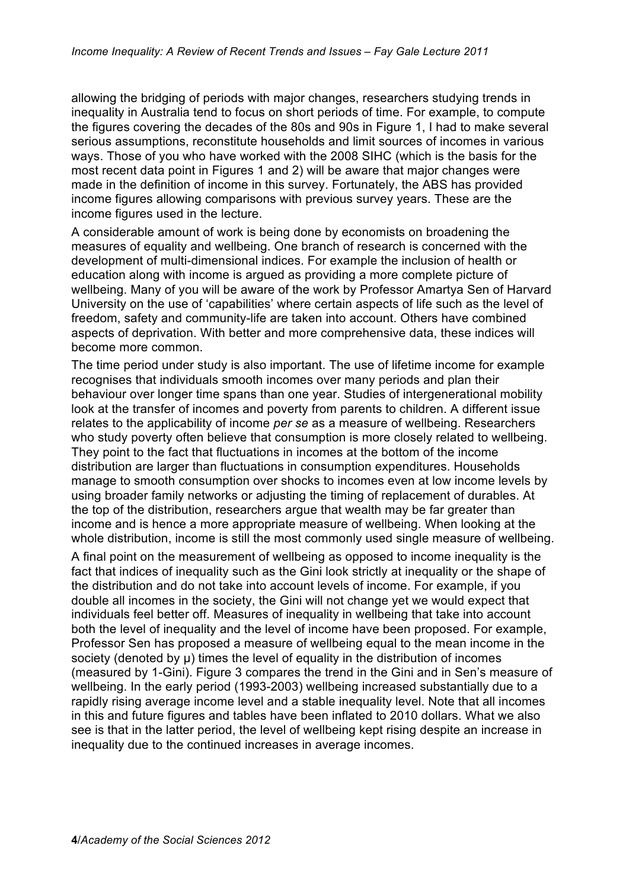allowing the bridging of periods with major changes, researchers studying trends in inequality in Australia tend to focus on short periods of time. For example, to compute the figures covering the decades of the 80s and 90s in Figure 1, I had to make several serious assumptions, reconstitute households and limit sources of incomes in various ways. Those of you who have worked with the 2008 SIHC (which is the basis for the most recent data point in Figures 1 and 2) will be aware that major changes were made in the definition of income in this survey. Fortunately, the ABS has provided income figures allowing comparisons with previous survey years. These are the income figures used in the lecture.

A considerable amount of work is being done by economists on broadening the measures of equality and wellbeing. One branch of research is concerned with the development of multi-dimensional indices. For example the inclusion of health or education along with income is argued as providing a more complete picture of wellbeing. Many of you will be aware of the work by Professor Amartya Sen of Harvard University on the use of 'capabilities' where certain aspects of life such as the level of freedom, safety and community-life are taken into account. Others have combined aspects of deprivation. With better and more comprehensive data, these indices will become more common.

The time period under study is also important. The use of lifetime income for example recognises that individuals smooth incomes over many periods and plan their behaviour over longer time spans than one year. Studies of intergenerational mobility look at the transfer of incomes and poverty from parents to children. A different issue relates to the applicability of income *per se* as a measure of wellbeing. Researchers who study poverty often believe that consumption is more closely related to wellbeing. They point to the fact that fluctuations in incomes at the bottom of the income distribution are larger than fluctuations in consumption expenditures. Households manage to smooth consumption over shocks to incomes even at low income levels by using broader family networks or adjusting the timing of replacement of durables. At the top of the distribution, researchers argue that wealth may be far greater than income and is hence a more appropriate measure of wellbeing. When looking at the whole distribution, income is still the most commonly used single measure of wellbeing.

A final point on the measurement of wellbeing as opposed to income inequality is the fact that indices of inequality such as the Gini look strictly at inequality or the shape of the distribution and do not take into account levels of income. For example, if you double all incomes in the society, the Gini will not change yet we would expect that individuals feel better off. Measures of inequality in wellbeing that take into account both the level of inequality and the level of income have been proposed. For example, Professor Sen has proposed a measure of wellbeing equal to the mean income in the society (denoted by u) times the level of equality in the distribution of incomes (measured by 1-Gini). Figure 3 compares the trend in the Gini and in Sen's measure of wellbeing. In the early period (1993-2003) wellbeing increased substantially due to a rapidly rising average income level and a stable inequality level. Note that all incomes in this and future figures and tables have been inflated to 2010 dollars. What we also see is that in the latter period, the level of wellbeing kept rising despite an increase in inequality due to the continued increases in average incomes.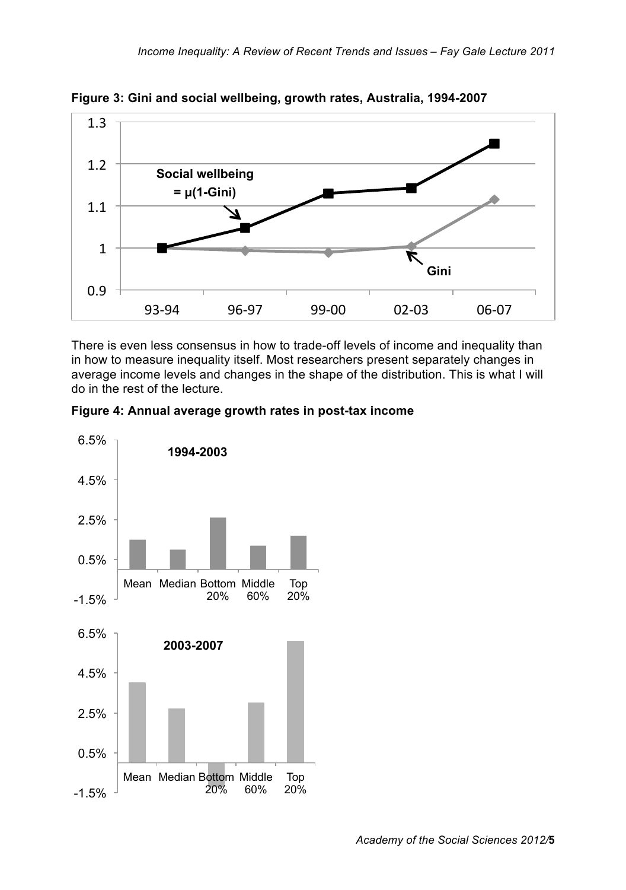

**Figure 3: Gini and social wellbeing, growth rates, Australia, 1994-2007**

There is even less consensus in how to trade-off levels of income and inequality than in how to measure inequality itself. Most researchers present separately changes in average income levels and changes in the shape of the distribution. This is what I will do in the rest of the lecture.



**Figure 4: Annual average growth rates in post-tax income**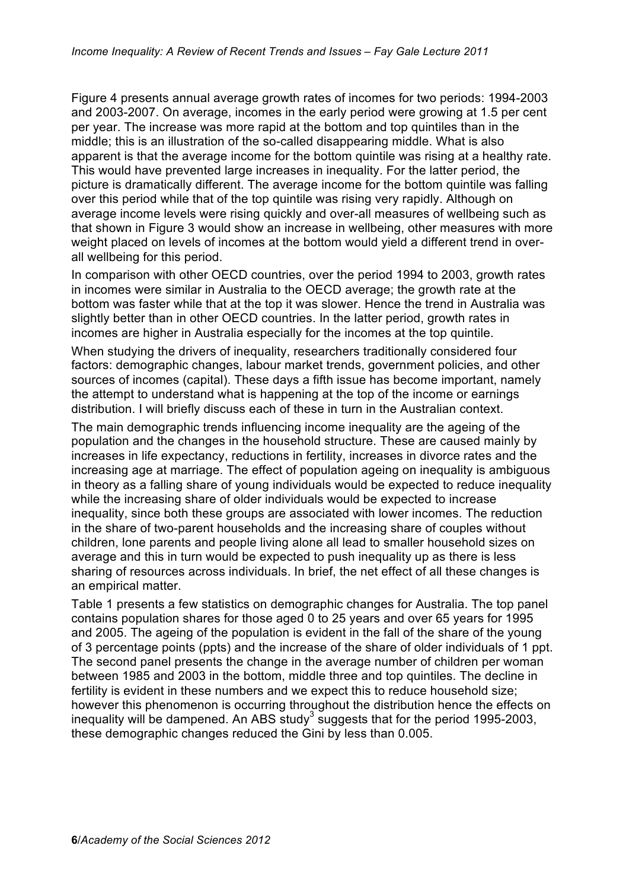Figure 4 presents annual average growth rates of incomes for two periods: 1994-2003 and 2003-2007. On average, incomes in the early period were growing at 1.5 per cent per year. The increase was more rapid at the bottom and top quintiles than in the middle; this is an illustration of the so-called disappearing middle. What is also apparent is that the average income for the bottom quintile was rising at a healthy rate. This would have prevented large increases in inequality. For the latter period, the picture is dramatically different. The average income for the bottom quintile was falling over this period while that of the top quintile was rising very rapidly. Although on average income levels were rising quickly and over-all measures of wellbeing such as that shown in Figure 3 would show an increase in wellbeing, other measures with more weight placed on levels of incomes at the bottom would yield a different trend in overall wellbeing for this period.

In comparison with other OECD countries, over the period 1994 to 2003, growth rates in incomes were similar in Australia to the OECD average; the growth rate at the bottom was faster while that at the top it was slower. Hence the trend in Australia was slightly better than in other OECD countries. In the latter period, growth rates in incomes are higher in Australia especially for the incomes at the top quintile.

When studying the drivers of inequality, researchers traditionally considered four factors: demographic changes, labour market trends, government policies, and other sources of incomes (capital). These days a fifth issue has become important, namely the attempt to understand what is happening at the top of the income or earnings distribution. I will briefly discuss each of these in turn in the Australian context.

The main demographic trends influencing income inequality are the ageing of the population and the changes in the household structure. These are caused mainly by increases in life expectancy, reductions in fertility, increases in divorce rates and the increasing age at marriage. The effect of population ageing on inequality is ambiguous in theory as a falling share of young individuals would be expected to reduce inequality while the increasing share of older individuals would be expected to increase inequality, since both these groups are associated with lower incomes. The reduction in the share of two-parent households and the increasing share of couples without children, lone parents and people living alone all lead to smaller household sizes on average and this in turn would be expected to push inequality up as there is less sharing of resources across individuals. In brief, the net effect of all these changes is an empirical matter.

Table 1 presents a few statistics on demographic changes for Australia. The top panel contains population shares for those aged 0 to 25 years and over 65 years for 1995 and 2005. The ageing of the population is evident in the fall of the share of the young of 3 percentage points (ppts) and the increase of the share of older individuals of 1 ppt. The second panel presents the change in the average number of children per woman between 1985 and 2003 in the bottom, middle three and top quintiles. The decline in fertility is evident in these numbers and we expect this to reduce household size; however this phenomenon is occurring throughout the distribution hence the effects on inequality will be dampened. An ABS study<sup>3</sup> suggests that for the period 1995-2003, these demographic changes reduced the Gini by less than 0.005.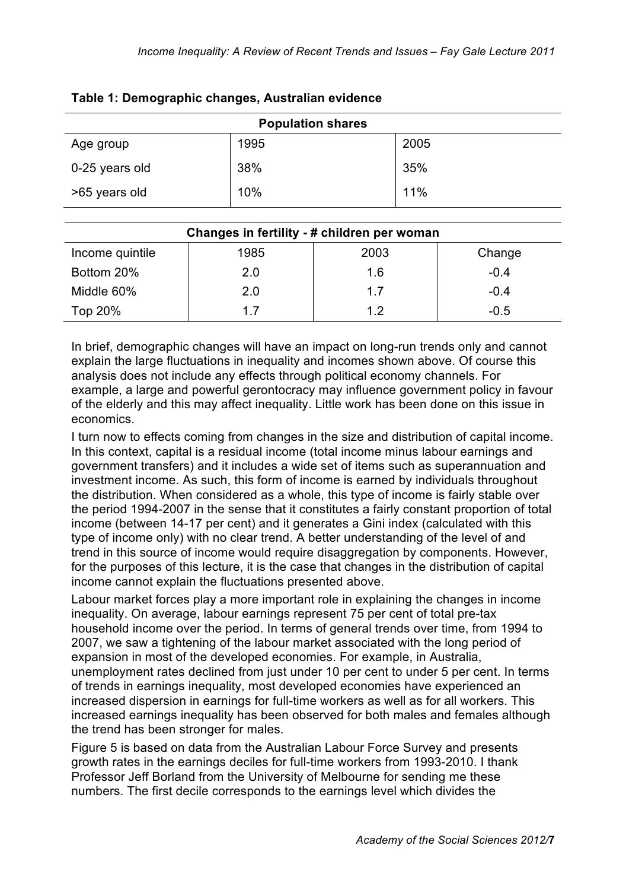| <b>Population shares</b> |      |      |  |
|--------------------------|------|------|--|
| Age group                | 1995 | 2005 |  |
| 0-25 years old           | 38%  | 35%  |  |
| >65 years old            | 10%  | 11%  |  |

## **Table 1: Demographic changes, Australian evidence**

| Changes in fertility - # children per woman |      |      |        |  |  |
|---------------------------------------------|------|------|--------|--|--|
| Income quintile                             | 1985 | 2003 | Change |  |  |
| Bottom 20%                                  | 2.0  | 1.6  | $-0.4$ |  |  |
| Middle 60%                                  | 2.0  | 1.7  | $-0.4$ |  |  |
| Top 20%                                     | 17   | 1.2  | $-0.5$ |  |  |

In brief, demographic changes will have an impact on long-run trends only and cannot explain the large fluctuations in inequality and incomes shown above. Of course this analysis does not include any effects through political economy channels. For example, a large and powerful gerontocracy may influence government policy in favour of the elderly and this may affect inequality. Little work has been done on this issue in economics.

I turn now to effects coming from changes in the size and distribution of capital income. In this context, capital is a residual income (total income minus labour earnings and government transfers) and it includes a wide set of items such as superannuation and investment income. As such, this form of income is earned by individuals throughout the distribution. When considered as a whole, this type of income is fairly stable over the period 1994-2007 in the sense that it constitutes a fairly constant proportion of total income (between 14-17 per cent) and it generates a Gini index (calculated with this type of income only) with no clear trend. A better understanding of the level of and trend in this source of income would require disaggregation by components. However, for the purposes of this lecture, it is the case that changes in the distribution of capital income cannot explain the fluctuations presented above.

Labour market forces play a more important role in explaining the changes in income inequality. On average, labour earnings represent 75 per cent of total pre-tax household income over the period. In terms of general trends over time, from 1994 to 2007, we saw a tightening of the labour market associated with the long period of expansion in most of the developed economies. For example, in Australia, unemployment rates declined from just under 10 per cent to under 5 per cent. In terms of trends in earnings inequality, most developed economies have experienced an increased dispersion in earnings for full-time workers as well as for all workers. This increased earnings inequality has been observed for both males and females although the trend has been stronger for males.

Figure 5 is based on data from the Australian Labour Force Survey and presents growth rates in the earnings deciles for full-time workers from 1993-2010. I thank Professor Jeff Borland from the University of Melbourne for sending me these numbers. The first decile corresponds to the earnings level which divides the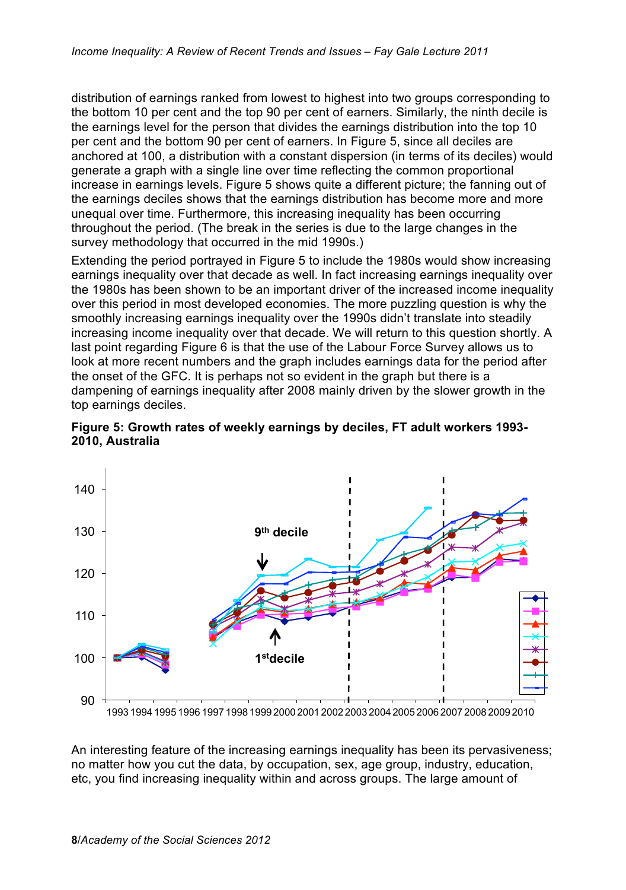distribution of earnings ranked from lowest to highest into two groups corresponding to the bottom 10 per cent and the top 90 per cent of earners. Similarly, the ninth decile is the earnings level for the person that divides the earnings distribution into the top 10 per cent and the bottom 90 per cent of earners. In Figure 5, since all deciles are anchored at 100, a distribution with a constant dispersion (in terms of its deciles) would generate a graph with a single line over time reflecting the common proportional increase in earnings levels. Figure 5 shows quite a different picture; the fanning out of the earnings deciles shows that the earnings distribution has become more and more unequal over time. Furthermore, this increasing inequality has been occurring throughout the period. (The break in the series is due to the large changes in the survey methodology that occurred in the mid 1990s.)

Extending the period portrayed in Figure 5 to include the 1980s would show increasing earnings inequality over that decade as well. In fact increasing earnings inequality over the 1980s has been shown to be an important driver of the increased income inequality over this period in most developed economies. The more puzzling question is why the smoothly increasing earnings inequality over the 1990s didn't translate into steadily increasing income inequality over that decade. We will return to this question shortly. A last point regarding Figure 6 is that the use of the Labour Force Survey allows us to look at more recent numbers and the graph includes earnings data for the period after the onset of the GFC. It is perhaps not so evident in the graph but there is a dampening of earnings inequality after 2008 mainly driven by the slower growth in the top earnings deciles.





1993 1994 1995 1996 1997 1998 1999 2000 2001 2002 2003 2004 2005 2006 2007 2008 2009 2010

An interesting feature of the increasing earnings inequality has been its pervasiveness; no matter how you cut the data, by occupation, sex, age group, industry, education, etc, you find increasing inequality within and across groups. The large amount of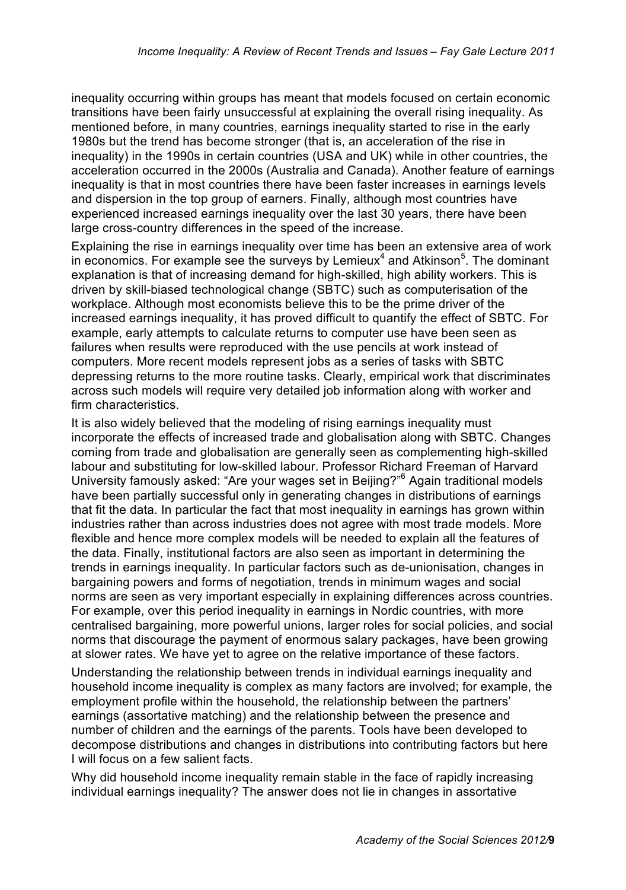inequality occurring within groups has meant that models focused on certain economic transitions have been fairly unsuccessful at explaining the overall rising inequality. As mentioned before, in many countries, earnings inequality started to rise in the early 1980s but the trend has become stronger (that is, an acceleration of the rise in inequality) in the 1990s in certain countries (USA and UK) while in other countries, the acceleration occurred in the 2000s (Australia and Canada). Another feature of earnings inequality is that in most countries there have been faster increases in earnings levels and dispersion in the top group of earners. Finally, although most countries have experienced increased earnings inequality over the last 30 years, there have been large cross-country differences in the speed of the increase.

Explaining the rise in earnings inequality over time has been an extensive area of work in economics. For example see the surveys by Lemieux $4$  and Atkinson<sup>5</sup>. The dominant explanation is that of increasing demand for high-skilled, high ability workers. This is driven by skill-biased technological change (SBTC) such as computerisation of the workplace. Although most economists believe this to be the prime driver of the increased earnings inequality, it has proved difficult to quantify the effect of SBTC. For example, early attempts to calculate returns to computer use have been seen as failures when results were reproduced with the use pencils at work instead of computers. More recent models represent jobs as a series of tasks with SBTC depressing returns to the more routine tasks. Clearly, empirical work that discriminates across such models will require very detailed job information along with worker and firm characteristics.

It is also widely believed that the modeling of rising earnings inequality must incorporate the effects of increased trade and globalisation along with SBTC. Changes coming from trade and globalisation are generally seen as complementing high-skilled labour and substituting for low-skilled labour. Professor Richard Freeman of Harvard University famously asked: "Are your wages set in Beijing?"<sup>6</sup> Again traditional models have been partially successful only in generating changes in distributions of earnings that fit the data. In particular the fact that most inequality in earnings has grown within industries rather than across industries does not agree with most trade models. More flexible and hence more complex models will be needed to explain all the features of the data. Finally, institutional factors are also seen as important in determining the trends in earnings inequality. In particular factors such as de-unionisation, changes in bargaining powers and forms of negotiation, trends in minimum wages and social norms are seen as very important especially in explaining differences across countries. For example, over this period inequality in earnings in Nordic countries, with more centralised bargaining, more powerful unions, larger roles for social policies, and social norms that discourage the payment of enormous salary packages, have been growing at slower rates. We have yet to agree on the relative importance of these factors.

Understanding the relationship between trends in individual earnings inequality and household income inequality is complex as many factors are involved; for example, the employment profile within the household, the relationship between the partners' earnings (assortative matching) and the relationship between the presence and number of children and the earnings of the parents. Tools have been developed to decompose distributions and changes in distributions into contributing factors but here I will focus on a few salient facts.

Why did household income inequality remain stable in the face of rapidly increasing individual earnings inequality? The answer does not lie in changes in assortative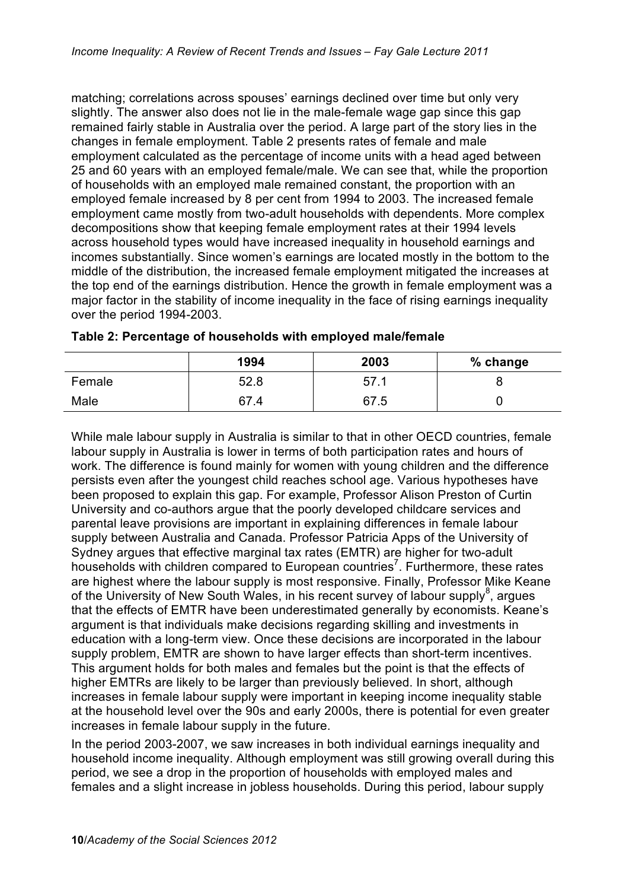matching; correlations across spouses' earnings declined over time but only very slightly. The answer also does not lie in the male-female wage gap since this gap remained fairly stable in Australia over the period. A large part of the story lies in the changes in female employment. Table 2 presents rates of female and male employment calculated as the percentage of income units with a head aged between 25 and 60 years with an employed female/male. We can see that, while the proportion of households with an employed male remained constant, the proportion with an employed female increased by 8 per cent from 1994 to 2003. The increased female employment came mostly from two-adult households with dependents. More complex decompositions show that keeping female employment rates at their 1994 levels across household types would have increased inequality in household earnings and incomes substantially. Since women's earnings are located mostly in the bottom to the middle of the distribution, the increased female employment mitigated the increases at the top end of the earnings distribution. Hence the growth in female employment was a major factor in the stability of income inequality in the face of rising earnings inequality over the period 1994-2003.

|        | 1994 | 2003 | % change |
|--------|------|------|----------|
| Female | 52.8 | 57.1 |          |
| Male   | 67.4 | 67.5 |          |

| Table 2: Percentage of households with employed male/female |  |  |
|-------------------------------------------------------------|--|--|

While male labour supply in Australia is similar to that in other OECD countries, female labour supply in Australia is lower in terms of both participation rates and hours of work. The difference is found mainly for women with young children and the difference persists even after the youngest child reaches school age. Various hypotheses have been proposed to explain this gap. For example, Professor Alison Preston of Curtin University and co-authors argue that the poorly developed childcare services and parental leave provisions are important in explaining differences in female labour supply between Australia and Canada. Professor Patricia Apps of the University of Sydney argues that effective marginal tax rates (EMTR) are higher for two-adult households with children compared to European countries<sup>7</sup>. Furthermore, these rates are highest where the labour supply is most responsive. Finally, Professor Mike Keane of the University of New South Wales, in his recent survey of labour supply<sup>8</sup>, argues that the effects of EMTR have been underestimated generally by economists. Keane's argument is that individuals make decisions regarding skilling and investments in education with a long-term view. Once these decisions are incorporated in the labour supply problem, EMTR are shown to have larger effects than short-term incentives. This argument holds for both males and females but the point is that the effects of higher EMTRs are likely to be larger than previously believed. In short, although increases in female labour supply were important in keeping income inequality stable at the household level over the 90s and early 2000s, there is potential for even greater increases in female labour supply in the future.

In the period 2003-2007, we saw increases in both individual earnings inequality and household income inequality. Although employment was still growing overall during this period, we see a drop in the proportion of households with employed males and females and a slight increase in jobless households. During this period, labour supply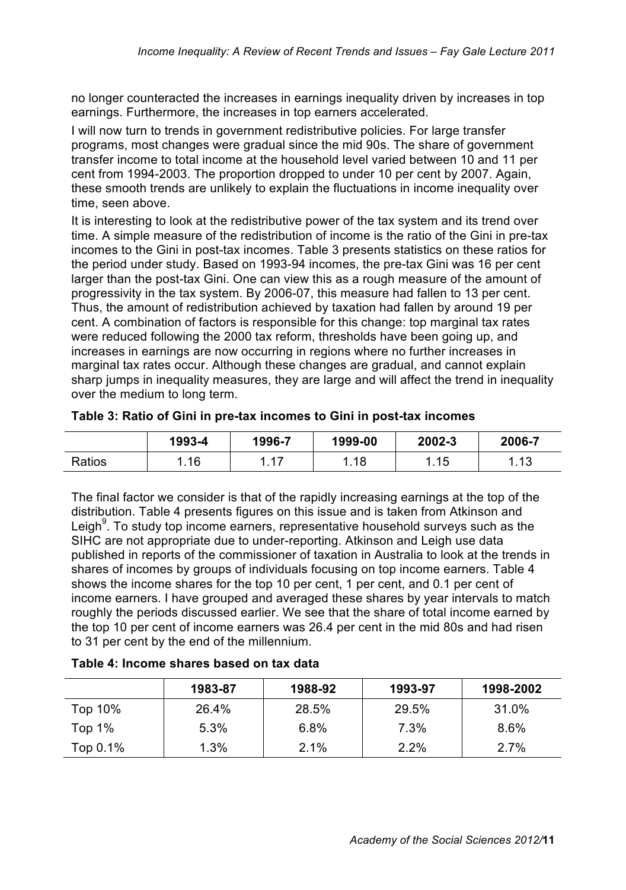no longer counteracted the increases in earnings inequality driven by increases in top earnings. Furthermore, the increases in top earners accelerated.

I will now turn to trends in government redistributive policies. For large transfer programs, most changes were gradual since the mid 90s. The share of government transfer income to total income at the household level varied between 10 and 11 per cent from 1994-2003. The proportion dropped to under 10 per cent by 2007. Again, these smooth trends are unlikely to explain the fluctuations in income inequality over time, seen above.

It is interesting to look at the redistributive power of the tax system and its trend over time. A simple measure of the redistribution of income is the ratio of the Gini in pre-tax incomes to the Gini in post-tax incomes. Table 3 presents statistics on these ratios for the period under study. Based on 1993-94 incomes, the pre-tax Gini was 16 per cent larger than the post-tax Gini. One can view this as a rough measure of the amount of progressivity in the tax system. By 2006-07, this measure had fallen to 13 per cent. Thus, the amount of redistribution achieved by taxation had fallen by around 19 per cent. A combination of factors is responsible for this change: top marginal tax rates were reduced following the 2000 tax reform, thresholds have been going up, and increases in earnings are now occurring in regions where no further increases in marginal tax rates occur. Although these changes are gradual, and cannot explain sharp jumps in inequality measures, they are large and will affect the trend in inequality over the medium to long term.

|        | 1993-4 | 1996-7 | 1999-00 | 2002-3           | 2006-7      |
|--------|--------|--------|---------|------------------|-------------|
| Ratios | .16    | -47    | l.18    | <b>15</b><br>ں . | 12<br>ن ا . |

| Table 3: Ratio of Gini in pre-tax incomes to Gini in post-tax incomes |  |
|-----------------------------------------------------------------------|--|
|                                                                       |  |

The final factor we consider is that of the rapidly increasing earnings at the top of the distribution. Table 4 presents figures on this issue and is taken from Atkinson and Leigh<sup>9</sup>. To study top income earners, representative household surveys such as the SIHC are not appropriate due to under-reporting. Atkinson and Leigh use data published in reports of the commissioner of taxation in Australia to look at the trends in shares of incomes by groups of individuals focusing on top income earners. Table 4 shows the income shares for the top 10 per cent, 1 per cent, and 0.1 per cent of income earners. I have grouped and averaged these shares by year intervals to match roughly the periods discussed earlier. We see that the share of total income earned by the top 10 per cent of income earners was 26.4 per cent in the mid 80s and had risen to 31 per cent by the end of the millennium.

|             | 1983-87 | 1988-92 | 1993-97 | 1998-2002 |
|-------------|---------|---------|---------|-----------|
| Top 10%     | 26.4%   | 28.5%   | 29.5%   | 31.0%     |
| Top $1\%$   | 5.3%    | $6.8\%$ | 7.3%    | $8.6\%$   |
| Top $0.1\%$ | $1.3\%$ | 2.1%    | 2.2%    | 2.7%      |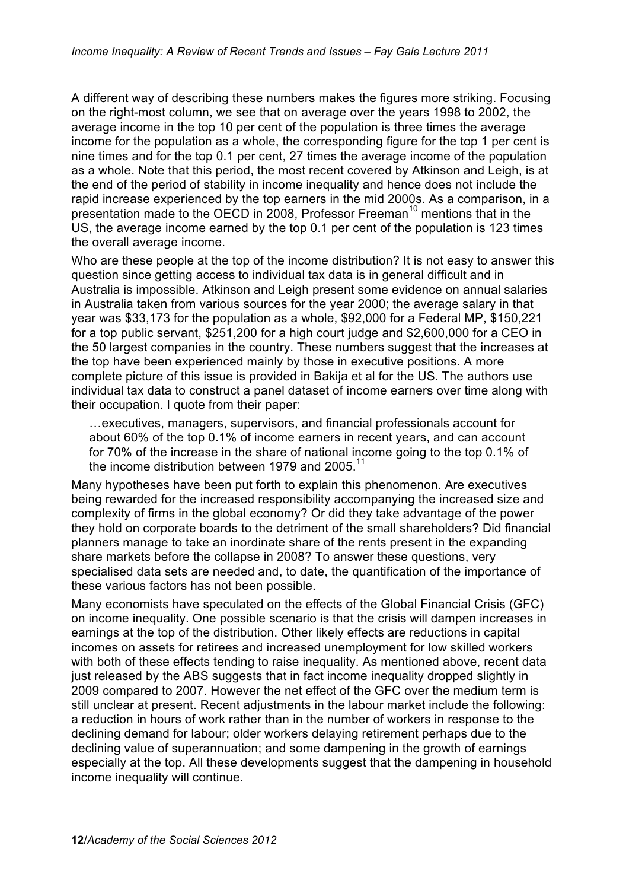A different way of describing these numbers makes the figures more striking. Focusing on the right-most column, we see that on average over the years 1998 to 2002, the average income in the top 10 per cent of the population is three times the average income for the population as a whole, the corresponding figure for the top 1 per cent is nine times and for the top 0.1 per cent, 27 times the average income of the population as a whole. Note that this period, the most recent covered by Atkinson and Leigh, is at the end of the period of stability in income inequality and hence does not include the rapid increase experienced by the top earners in the mid 2000s. As a comparison, in a presentation made to the OECD in 2008, Professor Freeman<sup>10</sup> mentions that in the US, the average income earned by the top 0.1 per cent of the population is 123 times the overall average income.

Who are these people at the top of the income distribution? It is not easy to answer this question since getting access to individual tax data is in general difficult and in Australia is impossible. Atkinson and Leigh present some evidence on annual salaries in Australia taken from various sources for the year 2000; the average salary in that year was \$33,173 for the population as a whole, \$92,000 for a Federal MP, \$150,221 for a top public servant, \$251,200 for a high court judge and \$2,600,000 for a CEO in the 50 largest companies in the country. These numbers suggest that the increases at the top have been experienced mainly by those in executive positions. A more complete picture of this issue is provided in Bakija et al for the US. The authors use individual tax data to construct a panel dataset of income earners over time along with their occupation. I quote from their paper:

…executives, managers, supervisors, and financial professionals account for about 60% of the top 0.1% of income earners in recent years, and can account for 70% of the increase in the share of national income going to the top 0.1% of the income distribution between 1979 and 2005.<sup>11</sup>

Many hypotheses have been put forth to explain this phenomenon. Are executives being rewarded for the increased responsibility accompanying the increased size and complexity of firms in the global economy? Or did they take advantage of the power they hold on corporate boards to the detriment of the small shareholders? Did financial planners manage to take an inordinate share of the rents present in the expanding share markets before the collapse in 2008? To answer these questions, very specialised data sets are needed and, to date, the quantification of the importance of these various factors has not been possible.

Many economists have speculated on the effects of the Global Financial Crisis (GFC) on income inequality. One possible scenario is that the crisis will dampen increases in earnings at the top of the distribution. Other likely effects are reductions in capital incomes on assets for retirees and increased unemployment for low skilled workers with both of these effects tending to raise inequality. As mentioned above, recent data just released by the ABS suggests that in fact income inequality dropped slightly in 2009 compared to 2007. However the net effect of the GFC over the medium term is still unclear at present. Recent adjustments in the labour market include the following: a reduction in hours of work rather than in the number of workers in response to the declining demand for labour; older workers delaying retirement perhaps due to the declining value of superannuation; and some dampening in the growth of earnings especially at the top. All these developments suggest that the dampening in household income inequality will continue.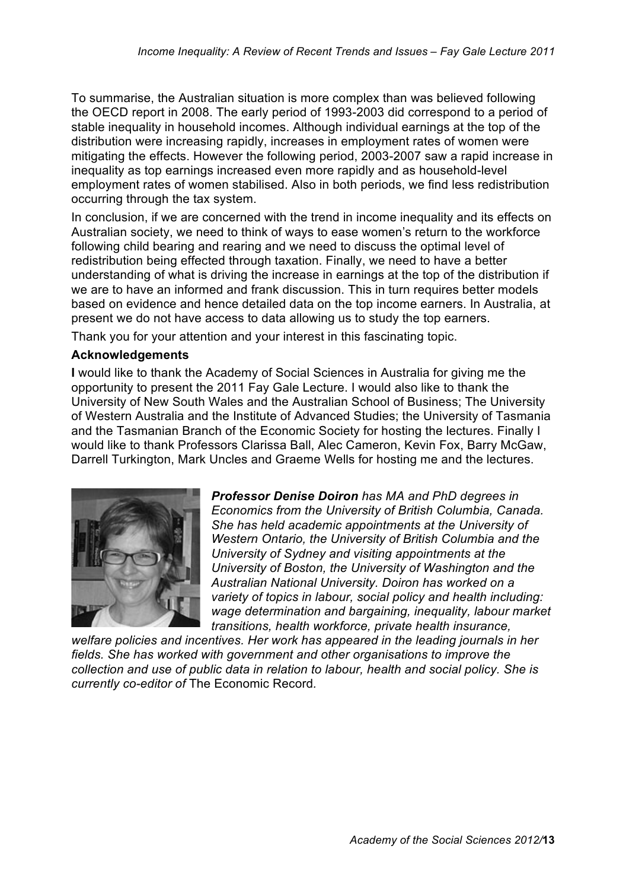To summarise, the Australian situation is more complex than was believed following the OECD report in 2008. The early period of 1993-2003 did correspond to a period of stable inequality in household incomes. Although individual earnings at the top of the distribution were increasing rapidly, increases in employment rates of women were mitigating the effects. However the following period, 2003-2007 saw a rapid increase in inequality as top earnings increased even more rapidly and as household-level employment rates of women stabilised. Also in both periods, we find less redistribution occurring through the tax system.

In conclusion, if we are concerned with the trend in income inequality and its effects on Australian society, we need to think of ways to ease women's return to the workforce following child bearing and rearing and we need to discuss the optimal level of redistribution being effected through taxation. Finally, we need to have a better understanding of what is driving the increase in earnings at the top of the distribution if we are to have an informed and frank discussion. This in turn requires better models based on evidence and hence detailed data on the top income earners. In Australia, at present we do not have access to data allowing us to study the top earners.

Thank you for your attention and your interest in this fascinating topic.

## **Acknowledgements**

**I** would like to thank the Academy of Social Sciences in Australia for giving me the opportunity to present the 2011 Fay Gale Lecture. I would also like to thank the University of New South Wales and the Australian School of Business; The University of Western Australia and the Institute of Advanced Studies; the University of Tasmania and the Tasmanian Branch of the Economic Society for hosting the lectures. Finally I would like to thank Professors Clarissa Ball, Alec Cameron, Kevin Fox, Barry McGaw, Darrell Turkington, Mark Uncles and Graeme Wells for hosting me and the lectures.



*Professor Denise Doiron has MA and PhD degrees in Economics from the University of British Columbia, Canada. She has held academic appointments at the University of Western Ontario, the University of British Columbia and the University of Sydney and visiting appointments at the University of Boston, the University of Washington and the Australian National University. Doiron has worked on a variety of topics in labour, social policy and health including: wage determination and bargaining, inequality, labour market transitions, health workforce, private health insurance,* 

*welfare policies and incentives. Her work has appeared in the leading journals in her fields. She has worked with government and other organisations to improve the collection and use of public data in relation to labour, health and social policy. She is currently co-editor of* The Economic Record*.*